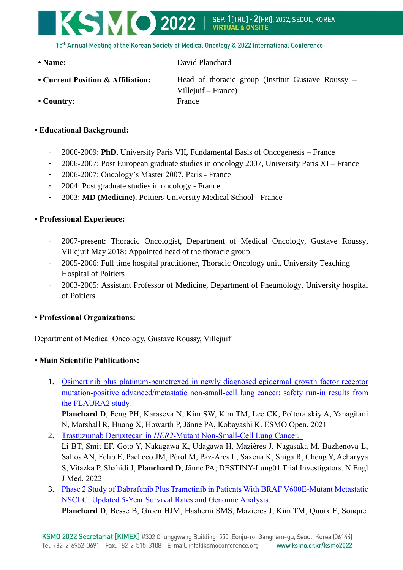

15th Annual Meeting of the Korean Society of Medical Oncology & 2022 International Conference

• Name: David Planchard **• Current Position & Affiliation:** Head of thoracic group (Institut Gustave Roussy – Villejuif – France) • Country: France

## **• Educational Background:**

- 2006-2009: **PhD**, University Paris VII, Fundamental Basis of Oncogenesis France
- 2006-2007: Post European graduate studies in oncology 2007, University Paris XI France
- 2006-2007: Oncology's Master 2007, Paris France
- 2004: Post graduate studies in oncology France
- 2003: **MD (Medicine)**, Poitiers University Medical School France

## **• Professional Experience:**

- 2007-present: Thoracic Oncologist, Department of Medical Oncology, Gustave Roussy, Villejuif May 2018: Appointed head of the thoracic group
- 2005-2006: Full time hospital practitioner, Thoracic Oncology unit, University Teaching Hospital of Poitiers
- 2003-2005: Assistant Professor of Medicine, Department of Pneumology, University hospital of Poitiers

## **• Professional Organizations:**

Department of Medical Oncology, Gustave Roussy, Villejuif

## **• Main Scientific Publications:**

1. [Osimertinib plus platinum-pemetrexed in newly diagnosed epidermal growth factor receptor](https://pubmed.ncbi.nlm.nih.gov/34543864/)  [mutation-positive advanced/metastatic non-small-cell lung cancer: safety run-in results from](https://pubmed.ncbi.nlm.nih.gov/34543864/)  [the FLAURA2 study.](https://pubmed.ncbi.nlm.nih.gov/34543864/) 

**Planchard D**, Feng PH, Karaseva N, Kim SW, Kim TM, Lee CK, Poltoratskiy A, Yanagitani N, Marshall R, Huang X, Howarth P, Jänne PA, Kobayashi K. ESMO Open. 2021

2. Trastuzumab Deruxtecan in *HER2*[-Mutant Non-Small-Cell Lung Cancer.](https://pubmed.ncbi.nlm.nih.gov/34534430/) 

Li BT, Smit EF, Goto Y, Nakagawa K, Udagawa H, Mazières J, Nagasaka M, Bazhenova L, Saltos AN, Felip E, Pacheco JM, Pérol M, Paz-Ares L, Saxena K, Shiga R, Cheng Y, Acharyya S, Vitazka P, Shahidi J, **Planchard D**, Jänne PA; DESTINY-Lung01 Trial Investigators. N Engl J Med. 2022

3. [Phase 2 Study of Dabrafenib Plus Trametinib in Patients With BRAF V600E-Mutant Metastatic](https://pubmed.ncbi.nlm.nih.gov/34455067/)  [NSCLC: Updated 5-Year Survival Rates and Genomic Analysis.](https://pubmed.ncbi.nlm.nih.gov/34455067/) 

**Planchard D**, Besse B, Groen HJM, Hashemi SMS, Mazieres J, Kim TM, Quoix E, Souquet